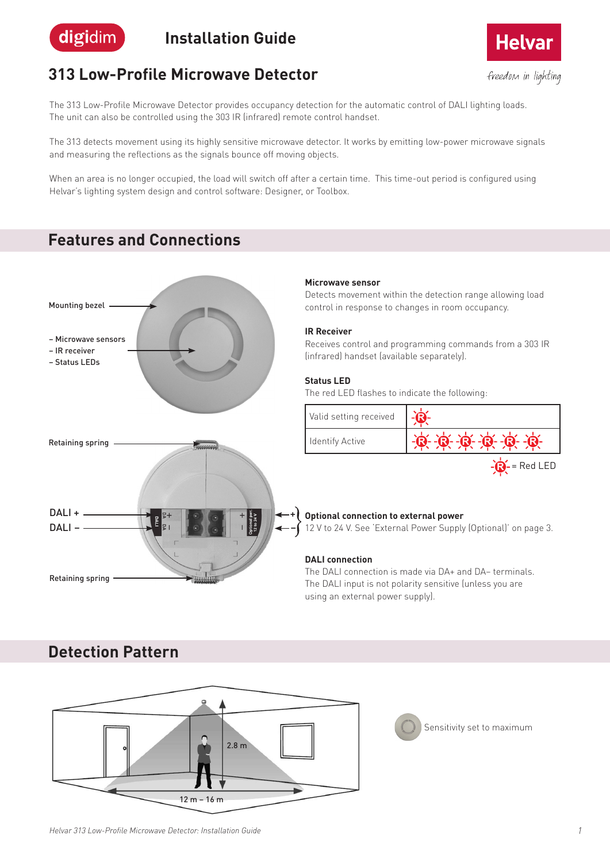

**Installation Guide**



freedom in lighting

### **313 Low-Profile Microwave Detector**

The 313 Low-Profile Microwave Detector provides occupancy detection for the automatic control of DALI lighting loads. The unit can also be controlled using the 303 IR (infrared) remote control handset.

The 313 detects movement using its highly sensitive microwave detector. It works by emitting low-power microwave signals and measuring the reflections as the signals bounce off moving objects.

When an area is no longer occupied, the load will switch off after a certain time. This time-out period is configured using Helvar's lighting system design and control software: Designer, or Toolbox.

## **Features and Connections**



#### **Microwave sensor**

Detects movement within the detection range allowing load control in response to changes in room occupancy.

#### **IR Receiver**

Receives control and programming commands from a 303 IR (infrared) handset (available separately).

#### **Status LED**

The red LED flashes to indicate the following:



#### **Optional connection to external power**

12 V to 24 V. See 'External Power Supply (Optional)' on page 3.

#### **DALI connection**

The DALI connection is made via DA+ and DA– terminals. The DALI input is not polarity sensitive (unless you are using an external power supply).

### **Detection Pattern**



Sensitivity set to maximum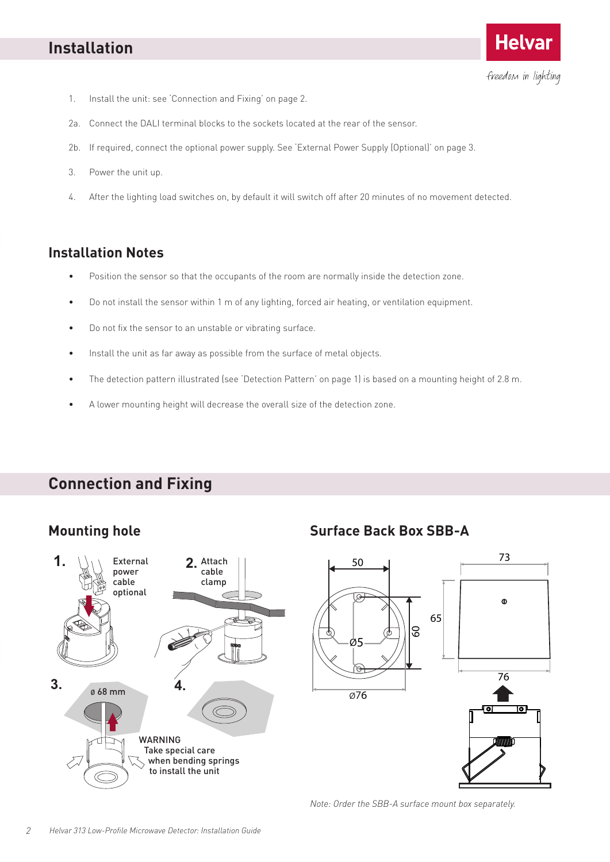- 1. Install the unit: see 'Connection and Fixing' on page 2.
- 2a. Connect the DALI terminal blocks to the sockets located at the rear of the sensor.
- 2b. If required, connect the optional power supply. See 'External Power Supply (Optional)' on page 3.
- 3. Power the unit up.
- 4. After the lighting load switches on, by default it will switch off after 20 minutes of no movement detected.

#### **Installation Notes**

- Position the sensor so that the occupants of the room are normally inside the detection zone.
- Do not install the sensor within 1 m of any lighting, forced air heating, or ventilation equipment.
- Do not fix the sensor to an unstable or vibrating surface.
- Install the unit as far away as possible from the surface of metal objects.
- The detection pattern illustrated (see 'Detection Pattern' on page 1) is based on a mounting height of 2.8 m.
- A lower mounting height will decrease the overall size of the detection zone.

### **Connection and Fixing**



### **Mounting hole Surface Back Box SBB-A**



*Note: Order the SBB-A surface mount box separately.*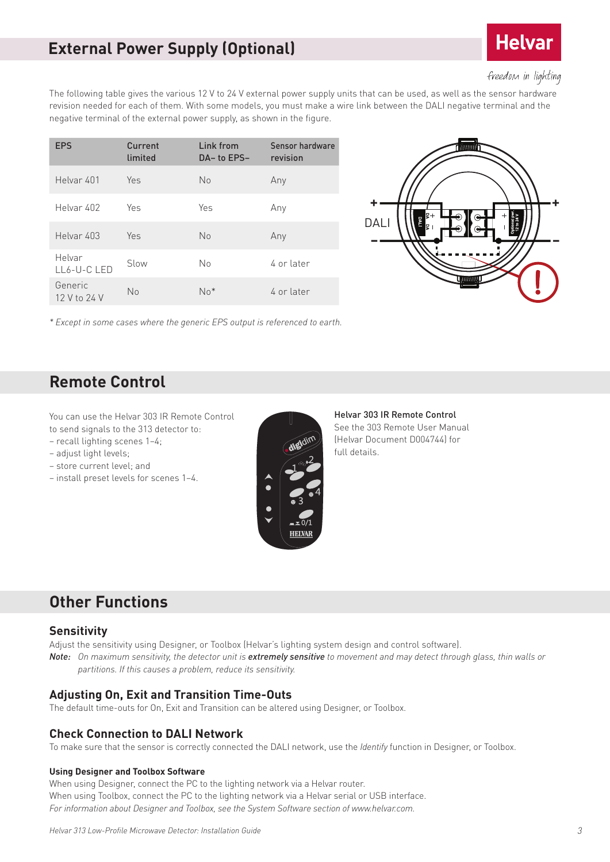#### freedom in lighting

The following table gives the various 12 V to 24 V external power supply units that can be used, as well as the sensor hardware revision needed for each of them. With some models, you must make a wire link between the DALI negative terminal and the negative terminal of the external power supply, as shown in the figure.

| <b>EPS</b>              | Current<br>limited | Link from<br>DA-to EPS- | Sensor hardware<br>revision |
|-------------------------|--------------------|-------------------------|-----------------------------|
| Helvar 401              | <b>Yes</b>         | No                      | Any                         |
| Helvar 402              | Yes                | Yes                     | Any                         |
| Helvar 403              | Yes                | No                      | Any                         |
| Helvar<br>$LL6-U-CLED$  | Slow               | No                      | 4 or later                  |
| Generic<br>12 V to 24 V | No                 | $No*$                   | 4 or later                  |



*\* Except in some cases where the generic EPS output is referenced to earth.*

### **Remote Control**

You can use the Helvar 303 IR Remote Control

- to send signals to the 313 detector to:
- recall lighting scenes 1–4;
- adjust light levels;
- store current level; and
- install preset levels for scenes 1–4.



Helvar 303 IR Remote Control See the 303 Remote User Manual (Helvar Document D004744) for full details.

### **Other Functions**

#### **Sensitivity**

Adjust the sensitivity using Designer, or Toolbox (Helvar's lighting system design and control software).

*Note: On maximum sensitivity, the detector unit is extremely sensitive to movement and may detect through glass, thin walls or partitions. If this causes a problem, reduce its sensitivity.*

#### **Adjusting On, Exit and Transition Time-Outs**

The default time-outs for On, Exit and Transition can be altered using Designer, or Toolbox.

#### **Check Connection to DALI Network**

To make sure that the sensor is correctly connected the DALI network, use the *Identify* function in Designer, or Toolbox.

#### **Using Designer and Toolbox Software**

When using Designer, connect the PC to the lighting network via a Helvar router. When using Toolbox, connect the PC to the lighting network via a Helvar serial or USB interface. *For information about Designer and Toolbox, see the System Software section of www.helvar.com.*